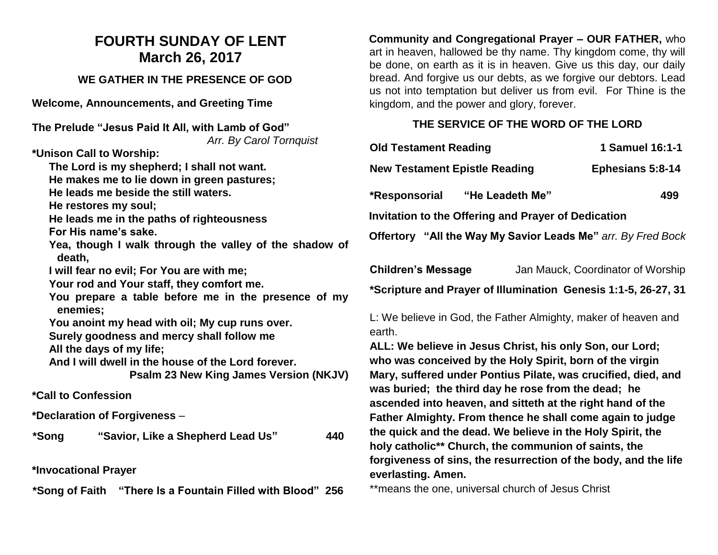## **FOURTH SUNDAY OF LENT March 26, 2017**

### **WE GATHER IN THE PRESENCE OF GOD**

**Welcome, Announcements, and Greeting Time** 

**The Prelude "Jesus Paid It All, with Lamb of God"** *Arr. By Carol Tornquist*

**\*Unison Call to Worship:** 

**The Lord is my shepherd; I shall not want. He makes me to lie down in green pastures;**

**He leads me beside the still waters.**

**He restores my soul;**

**He leads me in the paths of righteousness**

**For His name's sake.**

**Yea, though I walk through the valley of the shadow of death,**

**I will fear no evil; For You are with me;**

**Your rod and Your staff, they comfort me.**

**You prepare a table before me in the presence of my enemies;**

**You anoint my head with oil; My cup runs over.**

**Surely goodness and mercy shall follow me**

**All the days of my life;**

**And I will dwell in the house of the Lord forever.**

**Psalm 23 New King James Version (NKJV)**

**\*Call to Confession**

**\*Declaration of Forgiveness** –

**\*Song "Savior, Like a Shepherd Lead Us" 440**

**\*Invocational Prayer**

**\*Song of Faith "There Is a Fountain Filled with Blood" 256** 

**Community and Congregational Prayer – OUR FATHER,** who art in heaven, hallowed be thy name. Thy kingdom come, thy will be done, on earth as it is in heaven. Give us this day, our daily bread. And forgive us our debts, as we forgive our debtors. Lead us not into temptation but deliver us from evil. For Thine is the kingdom, and the power and glory, forever.

## **THE SERVICE OF THE WORD OF THE LORD**

| <b>Old Testament Reading</b>                                 | 1 Samuel 16:1-1         |  |
|--------------------------------------------------------------|-------------------------|--|
| <b>New Testament Epistle Reading</b>                         | <b>Ephesians 5:8-14</b> |  |
| *Responsorial "He Leadeth Me"                                | 499                     |  |
| Invitation to the Offering and Prayer of Dedication          |                         |  |
| Offertory "All the Way My Savior Leads Me" arr. By Fred Bock |                         |  |
|                                                              |                         |  |

| <b>Children's Message</b> | Jan Mauck, Coordinator of Worship                              |
|---------------------------|----------------------------------------------------------------|
|                           | *Scripture and Prayer of Illumination Genesis 1:1-5, 26-27, 31 |

L: We believe in God, the Father Almighty, maker of heaven and earth.

**ALL: We believe in Jesus Christ, his only Son, our Lord; who was conceived by the Holy Spirit, born of the virgin Mary, suffered under Pontius Pilate, was crucified, died, and was buried; the third day he rose from the dead; he ascended into heaven, and sitteth at the right hand of the Father Almighty. From thence he shall come again to judge the quick and the dead. We believe in the Holy Spirit, the holy catholic\*\* Church, the communion of saints, the forgiveness of sins, the resurrection of the body, and the life everlasting. Amen.**

\*\*means the one, universal church of Jesus Christ